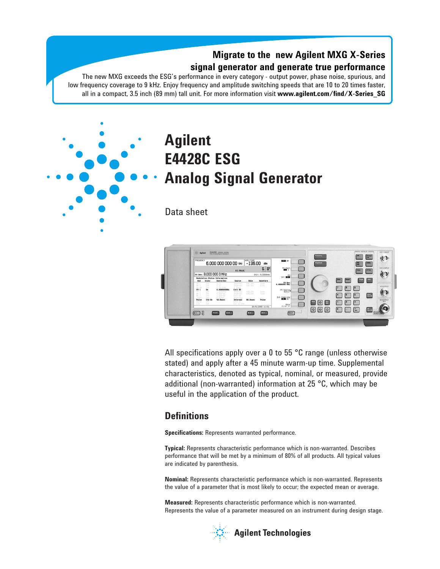### **Migrate to the new Agilent MXG X-Series signal generator and generate true performance**

The new MXG exceeds the ESG's performance in every category - output power, phase noise, spurious, and low frequency coverage to 9 kHz. Enjoy frequency and amplitude switching speeds that are 10 to 20 times faster, all in a compact, 3.5 inch (89 mm) tall unit. For more information visit **www.agilent.com/find/X-Series\_SG**



# **Agilent E4428C ESG Analog Signal Generator**

Data sheet



All specifications apply over a 0 to 55 °C range (unless otherwise stated) and apply after a 45 minute warm-up time. Supplemental characteristics, denoted as typical, nominal, or measured, provide additional (non-warranted) information at 25 °C, which may be useful in the application of the product.

### **Definitions**

**Specifications:** Represents warranted performance.

**Typical:** Represents characteristic performance which is non-warranted. Describes performance that will be met by a minimum of 80% of all products. All typical values are indicated by parenthesis.

**Nominal:** Represents characteristic performance which is non-warranted. Represents the value of a parameter that is most likely to occur; the expected mean or average.

**Measured:** Represents characteristic performance which is non-warranted. Represents the value of a parameter measured on an instrument during design stage.



**Agilent Technologies**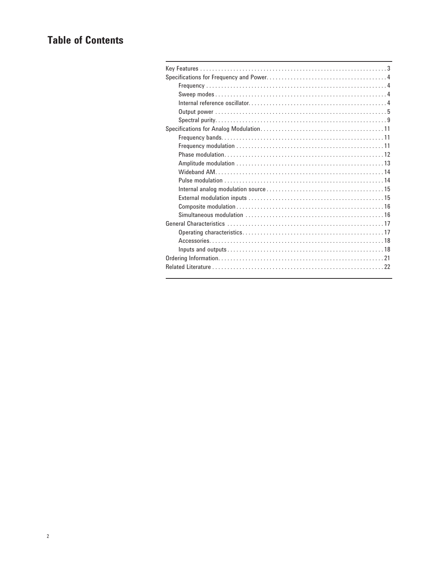# **Table of Contents**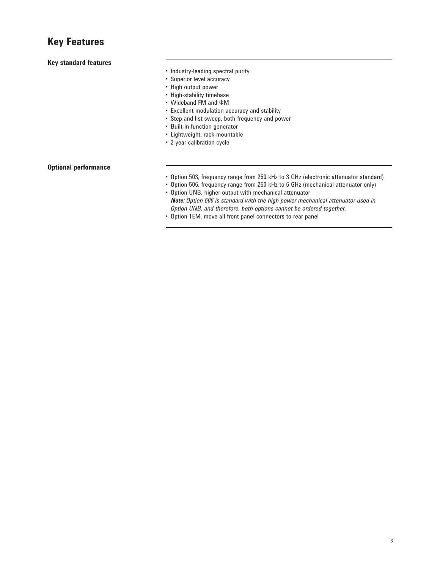### **Key Features**

### **Key standard features**

- • Industry-leading spectral purity
- • Superior level accuracy
- • High output power
- High-stability timebase
- • Wideband FM and ΦM
- • Excellent modulation accuracy and stability
- • Step and list sweep, both frequency and power
- • Built-in function generator
- • Lightweight, rack-mountable
- • 2-year calibration cycle

### **Optional performance**

- • Option 503, frequency range from 250 kHz to 3 GHz (electronic attenuator standard)
- • Option 506, frequency range from 250 kHz to 6 GHz (mechanical attenuator only)
- • Option UNB, higher output with mechanical attenuator *Note: Option 506 is standard with the high power mechanical attenuator used in Option UNB, and therefore, both options cannot be ordered together.*
- • Option 1EM, move all front panel connectors to rear panel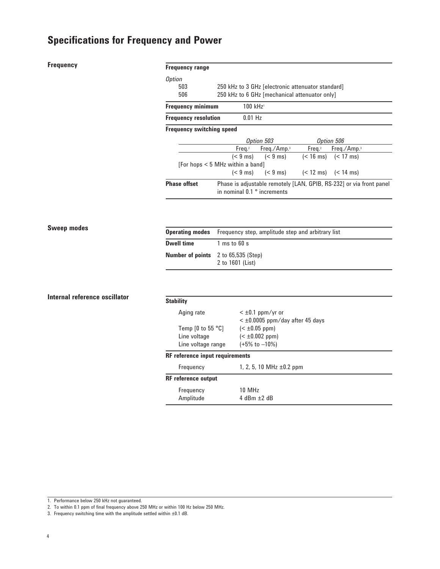### **Frequency**

| <b>Frequency range</b>           |                                        |                                                                               |           |                                                                     |  |
|----------------------------------|----------------------------------------|-------------------------------------------------------------------------------|-----------|---------------------------------------------------------------------|--|
| <i>Option</i>                    |                                        |                                                                               |           |                                                                     |  |
| 503                              |                                        | 250 kHz to 3 GHz [electronic attenuator standard]                             |           |                                                                     |  |
| 506                              |                                        | 250 kHz to 6 GHz [mechanical attenuator only]                                 |           |                                                                     |  |
| <b>Frequency minimum</b>         | $100$ kHz <sup>1</sup>                 |                                                                               |           |                                                                     |  |
| <b>Frequency resolution</b>      | $0.01$ Hz                              |                                                                               |           |                                                                     |  |
| <b>Frequency switching speed</b> |                                        |                                                                               |           |                                                                     |  |
|                                  |                                        | Option 503                                                                    |           | Option 506                                                          |  |
|                                  |                                        | Freq. <sup>2</sup> Freq./Amp. <sup>3</sup>                                    | Freq. $2$ | Freq./ $Amp.3$                                                      |  |
|                                  |                                        | $(< 9 \text{ ms})$ $(< 9 \text{ ms})$ $(< 16 \text{ ms})$ $(< 17 \text{ ms})$ |           |                                                                     |  |
|                                  | [For hops < 5 MHz within a band]       |                                                                               |           |                                                                     |  |
|                                  |                                        | $(< 9 \text{ ms})$ $(< 9 \text{ ms})$ $(< 12 \text{ ms})$ $(< 14 \text{ ms})$ |           |                                                                     |  |
| <b>Phase offset</b>              | in nominal $0.1$ $^{\circ}$ increments |                                                                               |           | Phase is adjustable remotely [LAN, GPIB, RS-232] or via front panel |  |

### **Sweep modes**

|                   | <b>Operating modes</b> Frequency step, amplitude step and arbitrary list |
|-------------------|--------------------------------------------------------------------------|
| <b>Dwell time</b> | $1 \text{ ms}$ to 60 s                                                   |
|                   | <b>Number of points</b> 2 to 65,535 (Step)<br>2 to 1601 (List)           |

### **Internal reference oscillator**

| <b>Stability</b>                       |                                        |
|----------------------------------------|----------------------------------------|
| Aging rate                             | $<$ ±0.1 ppm/yr or                     |
|                                        | $<$ $\pm$ 0.0005 ppm/day after 45 days |
| Temp $[0 \text{ to } 55 \text{ °C}]$   | $(\pm 0.05 ppm)$                       |
| Line voltage                           | $(\pm 0.002 ppm)$                      |
| Line voltage range                     | $(+5\% \text{ to } -10\%)$             |
| <b>RF</b> reference input requirements |                                        |
| Frequency                              | 1, 2, 5, 10 MHz $\pm$ 0.2 ppm          |
| <b>RF</b> reference output             |                                        |
| Frequency                              | 10 MHz                                 |
| Amplitude                              | $4$ dBm $+2$ dB                        |
|                                        |                                        |

1. Performance below 250 kHz not guaranteed.

2. To within 0.1 ppm of final frequency above 250 MHz or within 100 Hz below 250 MHz.

3. Frequency switching time with the amplitude settled within  $\pm 0.1$  dB.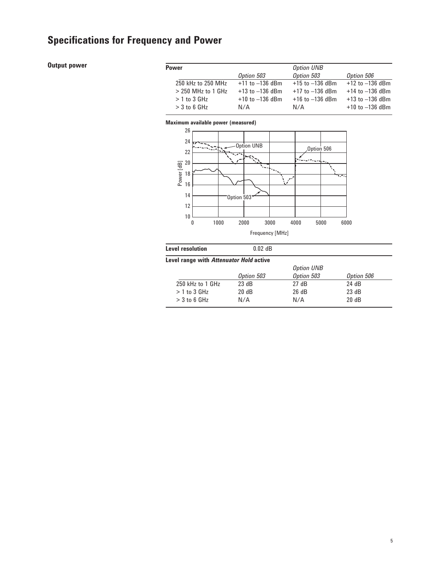### **Output power**

| Power                |                     | <b>Option UNB</b>   |                     |
|----------------------|---------------------|---------------------|---------------------|
|                      | Option 503          | Option 503          | Option 506          |
| 250 kHz to 250 MHz   | $+11$ to $-136$ dBm | $+15$ to $-136$ dBm | $+12$ to $-136$ dBm |
| $>$ 250 MHz to 1 GHz | $+13$ to $-136$ dBm | $+17$ to $-136$ dBm | $+14$ to $-136$ dBm |
| $>1$ to 3 GHz        | $+10$ to $-136$ dBm | $+16$ to $-136$ dBm | $+13$ to $-136$ dBm |
| $>$ 3 to 6 GHz       | N/A                 | N/A                 | $+10$ to $-136$ dBm |
|                      |                     |                     |                     |

### **Maximum available power (measured)**



| $0.02$ dB  |                                         |            |
|------------|-----------------------------------------|------------|
|            |                                         |            |
|            | <b>Option UNB</b>                       |            |
| Option 503 | Option 503                              | Option 506 |
| 23 dB      | 27dB                                    | 24 dB      |
| 20 dB      | 26 dB                                   | 23 dB      |
| N/A        | N/A                                     | 20 dB      |
|            | Level range with Attenuator Hold active |            |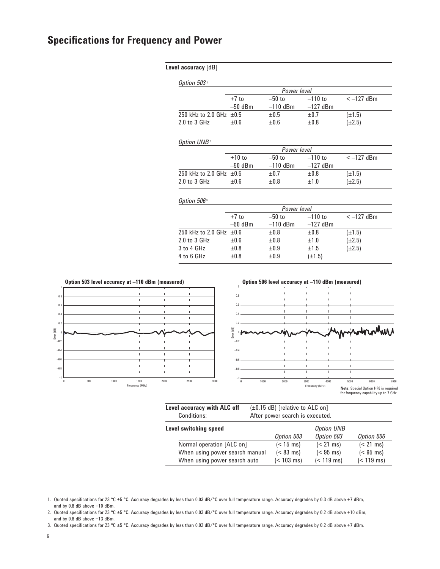|  | Level accuracy [dB] |  |
|--|---------------------|--|
|--|---------------------|--|

|                         |           | Power level |            |             |
|-------------------------|-----------|-------------|------------|-------------|
|                         | $+7$ to   | $-50$ to    | $-110$ to  | $<-127$ dBm |
|                         | $-50$ dBm | $-110$ dBm  | $-127$ dBm |             |
| 250 kHz to 2.0 GHz ±0.5 |           | $\pm 0.5$   | $\pm 0.7$  | $(\pm 1.5)$ |
| $2.0$ to $3.$ GHz       | $+0.6$    | $+0.6$      | $+0.8$     | (±2.5)      |

#### *Option UNB*<sup>2</sup>

|                              |           | Power level |            |             |
|------------------------------|-----------|-------------|------------|-------------|
|                              | $+10$ to  | $-50$ to    | $-110$ to  | $<-127$ dBm |
|                              | $-50$ dBm | $-110$ dBm  | $-127$ dBm |             |
| 250 kHz to 2.0 GHz $\pm 0.5$ |           | $\pm 0.7$   | ±0.8       | $(\pm 1.5)$ |
| $2.0$ to $3.$ GHz            | $+0.6$    | $+0.8$      | $+1.0$     | (±2.5)      |

#### *Option 506* <sup>3</sup>

| $+7$ to   | $-50$ to                     | $-110$ to   | $<-127$ dBm |  |
|-----------|------------------------------|-------------|-------------|--|
| $-50$ dBm | $-110$ dBm                   | $-127$ dBm  |             |  |
|           | ±0.8                         | ±0.8        | $(\pm 1.5)$ |  |
| $\pm 0.6$ | ±0.8                         | ±1.0        | $(\pm 2.5)$ |  |
| ±0.8      | $\pm 0.9$                    | ±1.5        | $(\pm 2.5)$ |  |
| ±0.8      | $\pm 0.9$                    | $(\pm 1.5)$ |             |  |
|           | 250 kHz to 2.0 GHz $\pm 0.6$ |             | Power level |  |



| Level accuracy with ALC off | $(\pm 0.15$ dB) [relative to ALC on] |
|-----------------------------|--------------------------------------|
| <b>Conditions:</b>          | After power search is executed.      |

| Level switching speed          |                      | <b>Option UNB</b> |                      |
|--------------------------------|----------------------|-------------------|----------------------|
|                                | Option 503           | Option 503        | Option 506           |
| Normal operation [ALC on]      | $(< 15 \text{ ms})$  | $(< 21$ ms)       | $(< 21$ ms)          |
| When using power search manual | $(< 83$ ms)          | $(< 95$ ms)       | $(< 95$ ms)          |
| When using power search auto   | $(< 103 \text{ ms})$ | $(< 119$ ms)      | $(< 119 \text{ ms})$ |

<sup>1.</sup> Quoted specifications for 23 °C ±5 °C. Accuracy degrades by less than 0.03 dB/°C over full temperature range. Accuracy degrades by 0.3 dB above +7 dBm, and by 0.8 dB above +10 dBm.

<sup>2.</sup> Quoted specifications for 23 °C ±5 °C. Accuracy degrades by less than 0.03 dB/°C over full temperature range. Accuracy degrades by 0.2 dB above +10 dBm, and by 0.8 dB above +13 dBm.

<sup>3.</sup> Quoted specifications for 23 °C ±5 °C. Accuracy degrades by less than 0.02 dB/°C over full temperature range. Accuracy degrades by 0.2 dB above +7 dBm.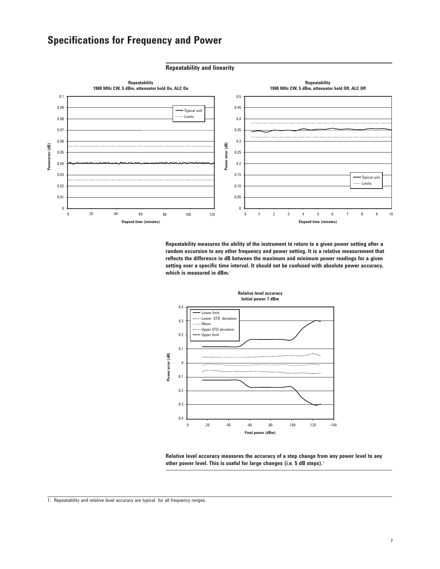

**Repeatability measures the ability of the instrument to return to a given power setting after a random excursion to any other frequency and power setting. It is a relative measurement that reflects the difference in dB between the maximum and minimum power readings for a given setting over a specific time interval. It should not be confused with absolute power accuracy, which is measured in dBm.**<sup>1</sup>



**Relative level accuracy measures the accuracy of a step change from any power level to any other power level. This is useful for large changes (i.e. 5 dB steps).**<sup>1</sup>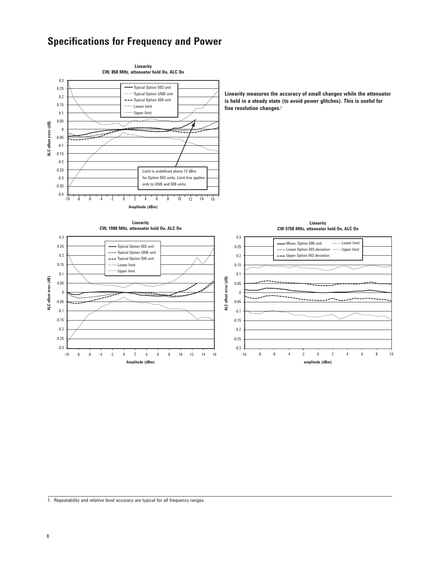

1. Repeatability and relative level accuracy are typical for all frequency ranges.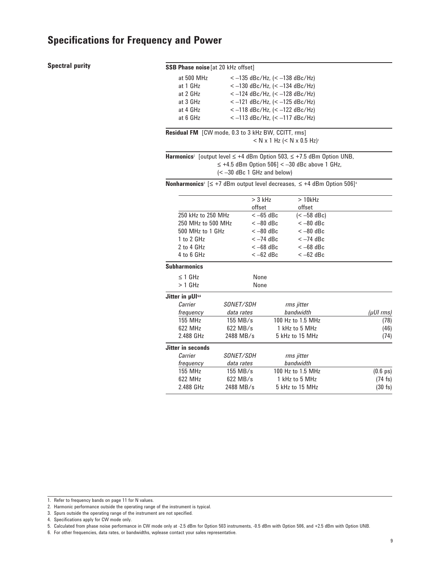### **Spectral purity**

### **SSB Phase noise** [at 20 kHz offset]

| at 500 MHz | $<-135$ dBc/Hz, (< $-138$ dBc/Hz) |
|------------|-----------------------------------|
| at 1 GHz   | $<-130$ dBc/Hz, $(< -134$ dBc/Hz) |
| at 2 GHz   | $<-124$ dBc/Hz, $(< -128$ dBc/Hz) |
| at 3 GHz   | $<-121$ dBc/Hz, $(< -125$ dBc/Hz) |
| at 4 GHz   | $<-118$ dBc/Hz, $(< -122$ dBc/Hz) |
| at 6 GHz   | $<-113$ dBc/Hz, $(< -117$ dBc/Hz) |
|            |                                   |

**Residual FM** [CW mode, 0.3 to 3 kHz BW, CCITT, rms]  $< N \times 1$  Hz ( $< N \times 0.5$  Hz)<sup>1</sup>

**Harmonics**<sup>2</sup> [output level ≤ +4 dBm Option 503, ≤ +7.5 dBm Option UNB, ≤ +4.5 dBm Option 506] < –30 dBc above 1 GHz, (< –30 dBc 1 GHz and below)

**Nonharmonics**<sup>3</sup> [≤ +7 dBm output level decreases, ≤ +4 dBm Option 506]<sup>4</sup>

|                          |                  | $>$ 3 kHz  | $>10$ kHz         |                         |  |
|--------------------------|------------------|------------|-------------------|-------------------------|--|
|                          |                  | offset     | offset            |                         |  |
| 250 kHz to 250 MHz       |                  | $<-65$ dBc | $(< -58$ dBc)     |                         |  |
| 250 MHz to 500 MHz       |                  | $<-80$ dBc | $<-80$ dBc        |                         |  |
| 500 MHz to 1 GHz         |                  | $<-80$ dBc | $<-80$ dBc        |                         |  |
| 1 to 2 GHz               |                  | $<-74$ dBc | $<-74$ dBc        |                         |  |
| 2 to 4 GHz               |                  | $<-68$ dBc | $<-68$ dBc        |                         |  |
| 4 to 6 GHz               |                  | $<-62$ dBc | $<-62$ dBc        |                         |  |
| Subharmonics             |                  |            |                   |                         |  |
| $\leq$ 1 GHz             |                  | None       |                   |                         |  |
| $> 1$ GHz                |                  | None       |                   |                         |  |
| Jitter in µUI5.6         |                  |            |                   |                         |  |
| Carrier                  | SONET/SDH        |            | rms jitter        |                         |  |
| frequency                | data rates       |            | bandwidth         | $(\mu$ UI $\text{rms})$ |  |
| 155 MHz                  | $155$ MB/s       |            | 100 Hz to 1.5 MHz | (78)                    |  |
| 622 MHz                  | $622$ MB/s       |            | 1 kHz to 5 MHz    | (46)                    |  |
| 2.488 GHz                | 2488 MB/s        |            | 5 kHz to 15 MHz   | (74)                    |  |
| <b>Jitter in seconds</b> |                  |            |                   |                         |  |
| Carrier                  | <i>SONET/SDH</i> |            | rms jitter        |                         |  |
| frequency                | data rates       |            | bandwidth         |                         |  |
| 155 MHz                  | $155$ MB/s       |            | 100 Hz to 1.5 MHz | $(0.6 \text{ ps})$      |  |
| 622 MHz                  | $622$ MB/s       |            | 1 kHz to 5 MHz    | $(74$ fs)               |  |
| 2.488 GHz                | 2488 MB/s        |            | 5 kHz to 15 MHz   | $(30 \text{ fs})$       |  |
|                          |                  |            |                   |                         |  |

6. For other frequencies, data rates, or bandwidths, wplease contact your sales representative.

<sup>1.</sup> Refer to frequency bands on page 11 for N values.

<sup>2.</sup> Harmonic performance outside the operating range of the instrument is typical.

<sup>3.</sup> Spurs outside the operating range of the instrument are not specified.

<sup>4.</sup> Specifications apply for CW mode only.

<sup>5.</sup> Calculated from phase noise performance in CW mode only at -2.5 dBm for Option 503 instruments, -0.5 dBm with Option 506, and +2.5 dBm with Option UNB.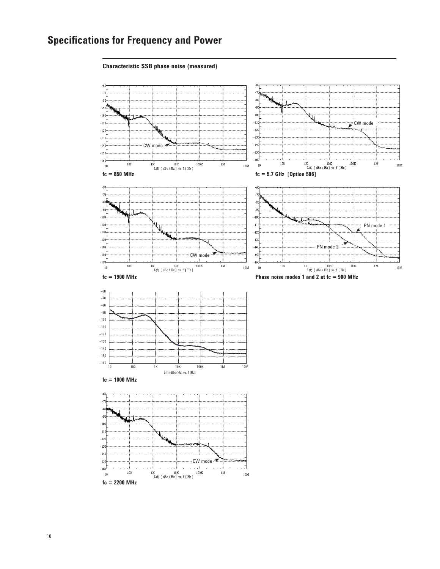#### **Characteristic SSB phase noise (measured)**

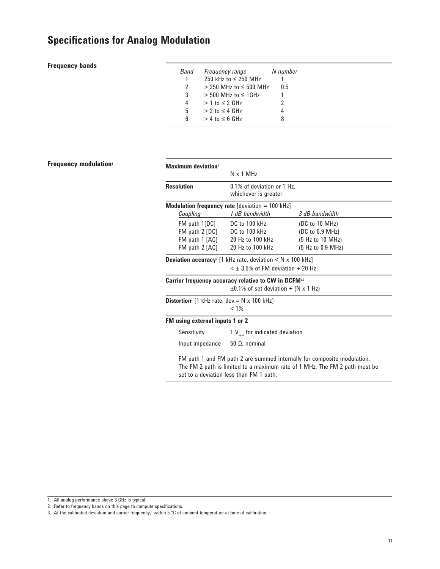### **Frequency bands**

| Band          | <b>Frequency range</b>        | N number |
|---------------|-------------------------------|----------|
|               | 250 kHz to $\leq$ 250 MHz     |          |
| $\mathcal{P}$ | $>$ 250 MHz to $\leq$ 500 MHz | 0.5      |
| 3             | $> 500$ MHz to $< 1$ GHz      |          |
| 4             | $> 1$ to $\leq 2$ GHz         |          |
| 5             | $> 2$ to $\leq 4$ GHz         |          |
| 6             | $> 4$ to $< 6$ GHz            | 8        |
|               |                               |          |

### **Frequency modulation<sup>1</sup>**

| <b>Maximum deviation</b> <sup>2</sup>                                  |                                                                          |                                                                            |  |  |
|------------------------------------------------------------------------|--------------------------------------------------------------------------|----------------------------------------------------------------------------|--|--|
|                                                                        | $N \times 1$ MHz                                                         |                                                                            |  |  |
| <b>Resolution</b>                                                      | 0.1% of deviation or 1 Hz.<br>whichever is greater                       |                                                                            |  |  |
|                                                                        | <b>Modulation frequency rate</b> [deviation = 100 kHz]                   |                                                                            |  |  |
| Coupling                                                               | 1 dB bandwidth                                                           | 3 dB bandwidth                                                             |  |  |
| $FM$ path $1[DC]$                                                      | DC to 100 kHz                                                            | (DC to 10 MHz)                                                             |  |  |
| $FM$ path $2$ $[DC]$                                                   | DC to 100 kHz                                                            | (DC to 0.9 MHz)                                                            |  |  |
| FM path 1 [AC]                                                         | 20 Hz to 100 kHz                                                         | (5 Hz to 10 MHz)                                                           |  |  |
| FM path 2 [AC]                                                         | 20 Hz to 100 kHz                                                         | (5 Hz to 0.9 MHz)                                                          |  |  |
|                                                                        | <b>Deviation accuracy</b> [1 kHz rate, deviation $\lt N \times 100$ kHz] |                                                                            |  |  |
|                                                                        | $<$ + 3.5% of FM deviation + 20 Hz                                       |                                                                            |  |  |
|                                                                        | <b>Carrier frequency accuracy relative to CW in DCFM</b> <sup>2,3</sup>  |                                                                            |  |  |
|                                                                        | $\pm 0.1\%$ of set deviation + (N x 1 Hz)                                |                                                                            |  |  |
| <b>Distortion</b> <sup>2</sup> [1 kHz rate, dev. = $N \times 100$ kHz] |                                                                          |                                                                            |  |  |
|                                                                        | $< 1\%$                                                                  |                                                                            |  |  |
| FM using external inputs 1 or 2                                        |                                                                          |                                                                            |  |  |
| Sensitivity                                                            | 1 $V_{\text{peak}}$ for indicated deviation                              |                                                                            |  |  |
| Input impedance                                                        | $50 \Omega$ , nominal                                                    |                                                                            |  |  |
|                                                                        |                                                                          | FM path 1 and FM path 2 are summed internally for composite modulation.    |  |  |
|                                                                        |                                                                          | The FM 2 path is limited to a maximum rate of 1 MHz. The FM 2 path must be |  |  |
| set to a deviation less than FM 1 path.                                |                                                                          |                                                                            |  |  |

<sup>1.</sup> All analog performance above 3 GHz is typical.

<sup>2.</sup> Refer to frequency bands on this page to compute specifications.

<sup>3.</sup> At the calibrated deviation and carrier frequency, within 5 °C of ambient temperature at time of calibration.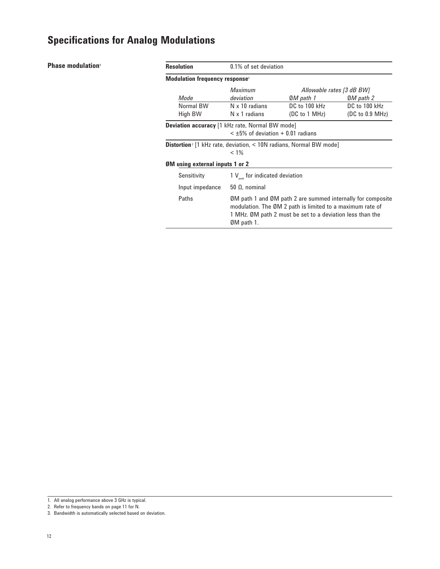### **Phase modulation<sup>1</sup>**

| <b>Resolution</b>                                                                         | 0.1% of set deviation                                                                                                                                                                                 |                           |                 |
|-------------------------------------------------------------------------------------------|-------------------------------------------------------------------------------------------------------------------------------------------------------------------------------------------------------|---------------------------|-----------------|
| <b>Modulation frequency response</b> <sup>2</sup>                                         |                                                                                                                                                                                                       |                           |                 |
|                                                                                           | <b>Maximum</b>                                                                                                                                                                                        | Allowable rates [3 dB BW] |                 |
| Mode                                                                                      | deviation                                                                                                                                                                                             | 0M path 1                 | 0M path 2       |
| Normal BW                                                                                 | $N \times 10$ radians                                                                                                                                                                                 | DC to 100 kHz             | DC to 100 kHz   |
| High BW                                                                                   | $N \times 1$ radians                                                                                                                                                                                  | (DC to 1 MHz)             | (DC to 0.9 MHz) |
| Deviation accuracy [1 kHz rate, Normal BW mode]                                           | $<$ ±5% of deviation + 0.01 radians                                                                                                                                                                   |                           |                 |
| <b>Distortion</b> <sup>2</sup> [1 kHz rate, deviation, $\lt$ 10N radians, Normal BW mode] | $< 1\%$                                                                                                                                                                                               |                           |                 |
| <b>ØM</b> using external inputs 1 or 2                                                    |                                                                                                                                                                                                       |                           |                 |
| Sensitivity                                                                               | 1 $V_{\text{peak}}$ for indicated deviation                                                                                                                                                           |                           |                 |
| Input impedance                                                                           | $50 \Omega$ , nominal                                                                                                                                                                                 |                           |                 |
| Paths                                                                                     | ØM path 1 and ØM path 2 are summed internally for composite<br>modulation. The ØM 2 path is limited to a maximum rate of<br>1 MHz. ØM path 2 must be set to a deviation less than the<br>$ØM$ path 1. |                           |                 |

<sup>1.</sup> All analog performance above 3 GHz is typical.

<sup>2.</sup> Refer to frequency bands on page 11 for N.

<sup>3.</sup> Bandwidth is automatically selected based on deviation.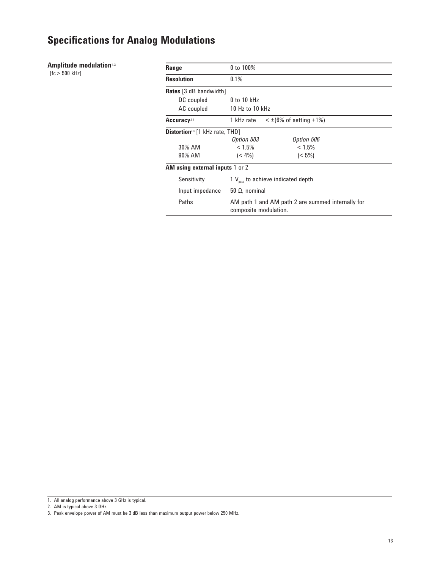### **Amplitude modulation**<sup>1,2</sup>

 $[fc > 500$  kHz]

| Range                                                                              | 0 to 100%                                                                  |                       |  |  |
|------------------------------------------------------------------------------------|----------------------------------------------------------------------------|-----------------------|--|--|
| <b>Resolution</b>                                                                  | 0.1%                                                                       |                       |  |  |
| <b>Rates</b> [3 dB bandwidth]                                                      |                                                                            |                       |  |  |
| DC coupled                                                                         | $0$ to 10 kHz                                                              |                       |  |  |
| AC coupled                                                                         | 10 Hz to 10 kHz                                                            |                       |  |  |
| $\leq \pm (6\% \text{ of setting } +1\%)$<br>Accuracy <sup>2,3</sup><br>1 kHz rate |                                                                            |                       |  |  |
| <b>Distortion</b> <sup>23</sup> [1 kHz rate, THD]                                  |                                                                            |                       |  |  |
|                                                                                    | Option 503                                                                 | Option 506            |  |  |
| 30% AM                                                                             | $< 1.5\%$                                                                  | < 1.5%                |  |  |
| 90% AM                                                                             | $(< 4\%)$<br>$(< 5\%)$                                                     |                       |  |  |
| <b>AM using external inputs 1 or 2</b>                                             |                                                                            |                       |  |  |
| Sensitivity                                                                        | 1 $V_{\text{peak}}$ to achieve indicated depth                             |                       |  |  |
| Input impedance                                                                    |                                                                            | $50 \Omega$ , nominal |  |  |
| Paths                                                                              | AM path 1 and AM path 2 are summed internally for<br>composite modulation. |                       |  |  |

2. AM is typical above 3 GHz.

<sup>1.</sup> All analog performance above 3 GHz is typical.

<sup>3.</sup> Peak envelope power of AM must be 3 dB less than maximum output power below 250 MHz.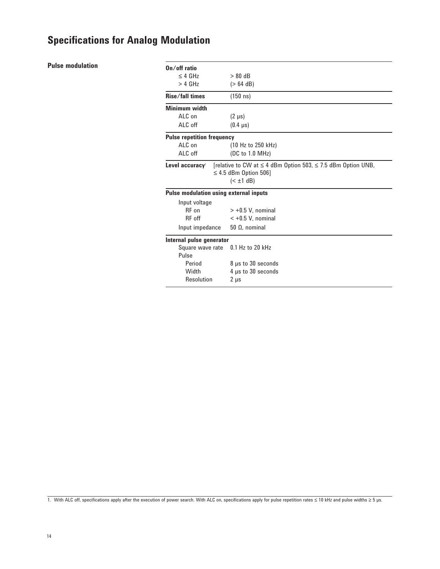### **Pulse modulation**

| $On/off$ ratio                                |                                                                                                            |  |
|-----------------------------------------------|------------------------------------------------------------------------------------------------------------|--|
| $\leq$ 4 GHz                                  | $> 80$ dB                                                                                                  |  |
| $> 4$ GHz                                     | $(> 64$ dB)                                                                                                |  |
| <b>Rise/fall times</b>                        | $(150 \text{ ns})$                                                                                         |  |
| Minimum width                                 |                                                                                                            |  |
| $AI C$ on                                     | $(2 \mu s)$                                                                                                |  |
| ALC off                                       | $(0.4 \mu s)$                                                                                              |  |
| <b>Pulse repetition frequency</b>             |                                                                                                            |  |
| ALC on                                        | (10 Hz to 250 kHz)                                                                                         |  |
| ALC off                                       | (DC to 1.0 MHz)                                                                                            |  |
| Level accuracy <sup>1</sup>                   | [relative to CW at ≤ 4 dBm Option 503, ≤ 7.5 dBm Option UNB,<br>$\leq 4.5$ dBm Option 506]<br>$(\pm 1 dB)$ |  |
| <b>Pulse modulation using external inputs</b> |                                                                                                            |  |
| Input voltage                                 |                                                                                                            |  |
| RF on                                         | $> +0.5$ V. nominal                                                                                        |  |
| RF off                                        | $< +0.5$ V, nominal                                                                                        |  |
| Input impedance                               | $50 \Omega$ , nominal                                                                                      |  |
| Internal pulse generator                      |                                                                                                            |  |
| Square wave rate                              | $0.1$ Hz to 20 kHz                                                                                         |  |
| Pulse                                         |                                                                                                            |  |
| Period                                        | 8 µs to 30 seconds                                                                                         |  |
| Width                                         | 4 µs to 30 seconds                                                                                         |  |
| Resolution                                    | $2 \mu s$                                                                                                  |  |

1. With ALC off, specifications apply after the execution of power search. With ALC on, specifications apply for pulse repetition rates ≤ 10 kHz and pulse widths ≥ 5 µs.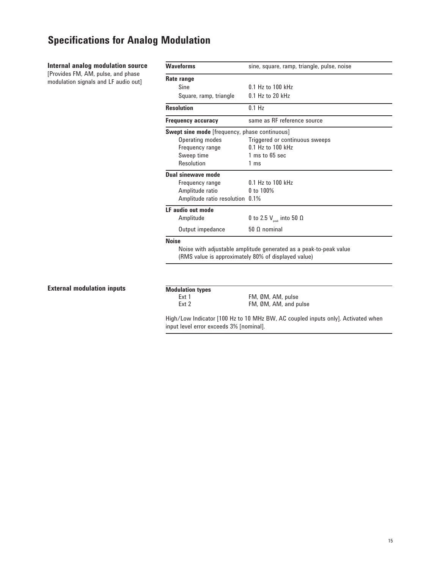### **Internal analog modulation source** [Provides FM, AM, pulse, and phase

modulation signals and LF audio out]

| <b>Waveforms</b>                                     | sine, square, ramp, triangle, pulse, noise                        |  |
|------------------------------------------------------|-------------------------------------------------------------------|--|
| Rate range                                           |                                                                   |  |
| Sine                                                 | $0.1$ Hz to $100$ kHz                                             |  |
| Square, ramp, triangle                               | $0.1$ Hz to 20 kHz                                                |  |
| <b>Resolution</b>                                    | $0.1$ Hz                                                          |  |
| <b>Frequency accuracy</b>                            | same as RF reference source                                       |  |
| <b>Swept sine mode</b> [frequency, phase continuous] |                                                                   |  |
| Operating modes                                      | Triggered or continuous sweeps                                    |  |
| Frequency range                                      | 0.1 Hz to 100 kHz                                                 |  |
| Sweep time                                           | 1 ms to 65 sec                                                    |  |
| Resolution                                           | 1 ms                                                              |  |
| Dual sinewave mode                                   |                                                                   |  |
| Frequency range                                      | $0.1$ Hz to $100$ kHz                                             |  |
| Amplitude ratio                                      | 0 to 100%                                                         |  |
| Amplitude ratio resolution 0.1%                      |                                                                   |  |
| LF audio out mode                                    |                                                                   |  |
| Amplitude                                            | 0 to 2.5 $V_{\text{peak}}$ into 50 $\Omega$                       |  |
| Output impedance                                     | $50 \Omega$ nominal                                               |  |
| <b>Noise</b>                                         |                                                                   |  |
|                                                      | Noise with adjustable amplitude generated as a peak-to-peak value |  |
| (RMS value is approximately 80% of displayed value)  |                                                                   |  |

### **External modulation inputs**

# **Modulation types**

Ext 1 FM, ØM, AM, pulse<br>Ext 2 FM, ØM, AM, and p FM, ØM, AM, and pulse

High/Low Indicator [100 Hz to 10 MHz BW, AC coupled inputs only]. Activated when input level error exceeds 3% [nominal].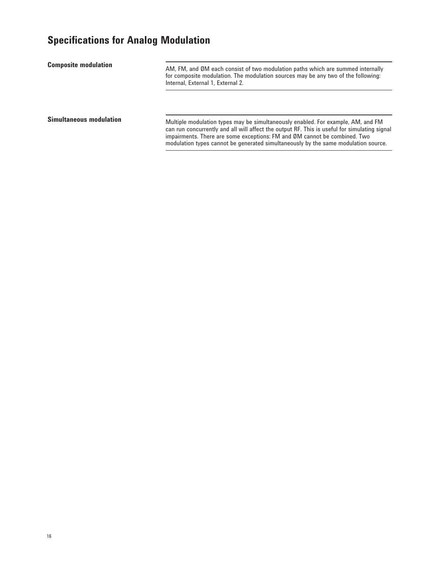AM, FM, and ØM each consist of two modulation paths which are summed internally for composite modulation. The modulation sources may be any two of the following: Internal, External 1, External 2. **Composite modulation Simultaneous modulation** 

Multiple modulation types may be simultaneously enabled. For example, AM, and FM can run concurrently and all will affect the output RF. This is useful for simulating signal impairments. There are some exceptions: FM and ØM cannot be combined. Two modulation types cannot be generated simultaneously by the same modulation source.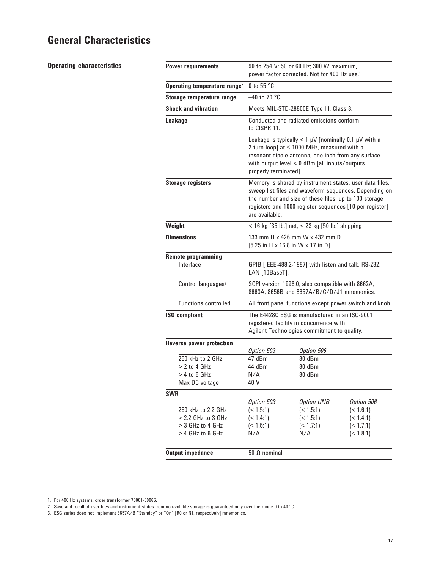### **General Characteristics**

**Operating characteristics**

| 90 to 254 V; 50 or 60 Hz; 300 W maximum,<br>power factor corrected. Not for 400 Hz use. <sup>1</sup>                                                                                                                                                                               |                                                      |                                                                                                                                                                                                                      |
|------------------------------------------------------------------------------------------------------------------------------------------------------------------------------------------------------------------------------------------------------------------------------------|------------------------------------------------------|----------------------------------------------------------------------------------------------------------------------------------------------------------------------------------------------------------------------|
| 0 to 55 °C<br>Operating temperature range <sup>2</sup>                                                                                                                                                                                                                             |                                                      |                                                                                                                                                                                                                      |
| $-40$ to 70 °C                                                                                                                                                                                                                                                                     |                                                      |                                                                                                                                                                                                                      |
|                                                                                                                                                                                                                                                                                    |                                                      |                                                                                                                                                                                                                      |
| to CISPR 11.                                                                                                                                                                                                                                                                       |                                                      |                                                                                                                                                                                                                      |
| Leakage is typically $< 1 \mu V$ [nominally 0.1 $\mu V$ with a<br>2-turn loop] at $\leq$ 1000 MHz, measured with a<br>resonant dipole antenna, one inch from any surface<br>with output level $< 0$ dBm [all inputs/outputs<br>properly terminated].                               |                                                      |                                                                                                                                                                                                                      |
| Memory is shared by instrument states, user data files,<br><b>Storage registers</b><br>sweep list files and waveform sequences. Depending on<br>the number and size of these files, up to 100 storage<br>registers and 1000 register sequences [10 per register]<br>are available. |                                                      |                                                                                                                                                                                                                      |
| $<$ 16 kg [35 lb.] net, $<$ 23 kg [50 lb.] shipping                                                                                                                                                                                                                                |                                                      |                                                                                                                                                                                                                      |
| 133 mm H x 426 mm W x 432 mm D<br>$[5.25$ in H x 16.8 in W x 17 in D]                                                                                                                                                                                                              |                                                      |                                                                                                                                                                                                                      |
|                                                                                                                                                                                                                                                                                    |                                                      |                                                                                                                                                                                                                      |
| GPIB [IEEE-488.2-1987] with listen and talk, RS-232,<br>LAN [10BaseT].                                                                                                                                                                                                             |                                                      |                                                                                                                                                                                                                      |
| SCPI version 1996.0, also compatible with 8662A,<br>8663A, 8656B and 8657A/B/C/D/J1 mnemonics.                                                                                                                                                                                     |                                                      |                                                                                                                                                                                                                      |
|                                                                                                                                                                                                                                                                                    |                                                      |                                                                                                                                                                                                                      |
| The E4428C ESG is manufactured in an ISO-9001<br>registered facility in concurrence with<br>Agilent Technologies commitment to quality.                                                                                                                                            |                                                      |                                                                                                                                                                                                                      |
|                                                                                                                                                                                                                                                                                    |                                                      |                                                                                                                                                                                                                      |
| Option 503                                                                                                                                                                                                                                                                         | Option 506                                           |                                                                                                                                                                                                                      |
|                                                                                                                                                                                                                                                                                    |                                                      |                                                                                                                                                                                                                      |
|                                                                                                                                                                                                                                                                                    |                                                      |                                                                                                                                                                                                                      |
|                                                                                                                                                                                                                                                                                    |                                                      |                                                                                                                                                                                                                      |
|                                                                                                                                                                                                                                                                                    |                                                      |                                                                                                                                                                                                                      |
|                                                                                                                                                                                                                                                                                    |                                                      | Option 506                                                                                                                                                                                                           |
| (< 1.5:1)                                                                                                                                                                                                                                                                          |                                                      | (< 1.6:1)                                                                                                                                                                                                            |
| (< 1.4:1)                                                                                                                                                                                                                                                                          | (< 1.5:1)                                            | (< 1.4:1)                                                                                                                                                                                                            |
| (< 1.5:1)                                                                                                                                                                                                                                                                          | (< 1.7:1)                                            | (< 1.7:1)                                                                                                                                                                                                            |
|                                                                                                                                                                                                                                                                                    |                                                      | (< 1.8:1)                                                                                                                                                                                                            |
| $50 \Omega$ nominal                                                                                                                                                                                                                                                                |                                                      |                                                                                                                                                                                                                      |
|                                                                                                                                                                                                                                                                                    | 47 dBm<br>44 dBm<br>N/A<br>40 V<br>Option 503<br>N/A | Meets MIL-STD-28800E Type III, Class 3.<br>Conducted and radiated emissions conform<br>All front panel functions except power switch and knob.<br>30dBm<br>30 dBm<br>30 dBm<br><b>Option UNB</b><br>(< 1.5:1)<br>N/A |

<sup>1.</sup> For 400 Hz systems, order transformer 70001-60066.

<sup>2.</sup> Save and recall of user files and instrument states from non-volatile storage is guaranteed only over the range 0 to 40 °C.

<sup>3.</sup> ESG series does not implement 8657A/B "Standby" or "On" [R0 or R1, respectively] mnemonics.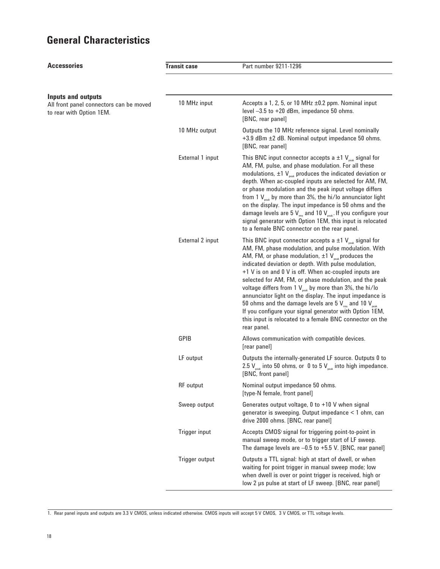# **General Characteristics**

| <b>Accessories</b>                                                                               | <b>Transit case</b> | Part number 9211-1296                                                                                                                                                                                                                                                                                                                                                                                                                                                                                                                                                                                                                                                                                                                       |
|--------------------------------------------------------------------------------------------------|---------------------|---------------------------------------------------------------------------------------------------------------------------------------------------------------------------------------------------------------------------------------------------------------------------------------------------------------------------------------------------------------------------------------------------------------------------------------------------------------------------------------------------------------------------------------------------------------------------------------------------------------------------------------------------------------------------------------------------------------------------------------------|
|                                                                                                  |                     |                                                                                                                                                                                                                                                                                                                                                                                                                                                                                                                                                                                                                                                                                                                                             |
| <b>Inputs and outputs</b><br>All front panel connectors can be moved<br>to rear with Option 1EM. | 10 MHz input        | Accepts a 1, 2, 5, or 10 MHz $\pm$ 0.2 ppm. Nominal input<br>level $-3.5$ to $+20$ dBm, impedance 50 ohms.<br>[BNC, rear panel]                                                                                                                                                                                                                                                                                                                                                                                                                                                                                                                                                                                                             |
|                                                                                                  | 10 MHz output       | Outputs the 10 MHz reference signal. Level nominally<br>+3.9 dBm ±2 dB. Nominal output impedance 50 ohms.<br>[BNC, rear panel]                                                                                                                                                                                                                                                                                                                                                                                                                                                                                                                                                                                                              |
|                                                                                                  | External 1 input    | This BNC input connector accepts a $\pm 1$ V <sub>peak</sub> signal for<br>AM, FM, pulse, and phase modulation. For all these<br>modulations, $\pm 1$ V <sub>peak</sub> produces the indicated deviation or<br>depth. When ac-coupled inputs are selected for AM, FM,<br>or phase modulation and the peak input voltage differs<br>from 1 $V_{\text{peak}}$ by more than 3%, the hi/lo annunciator light<br>on the display. The input impedance is 50 ohms and the<br>damage levels are 5 $V_{rms}$ and 10 $V_{peak}$ . If you configure your<br>signal generator with Option 1EM, this input is relocated<br>to a female BNC connector on the rear panel.                                                                                  |
|                                                                                                  | External 2 input    | This BNC input connector accepts a $\pm 1$ V <sub>peak</sub> signal for<br>AM, FM, phase modulation, and pulse modulation. With<br>AM, FM, or phase modulation, $\pm 1$ V <sub>veak</sub> produces the<br>indicated deviation or depth. With pulse modulation,<br>+1 V is on and 0 V is off. When ac-coupled inputs are<br>selected for AM, FM, or phase modulation, and the peak<br>voltage differs from 1 $V_{\text{peak}}$ by more than 3%, the hi/lo<br>annunciator light on the display. The input impedance is<br>50 ohms and the damage levels are 5 $V_{\text{rms}}$ and 10 $V_{\text{peak}}$<br>If you configure your signal generator with Option 1EM,<br>this input is relocated to a female BNC connector on the<br>rear panel. |
|                                                                                                  | <b>GPIB</b>         | Allows communication with compatible devices.<br>[rear panel]                                                                                                                                                                                                                                                                                                                                                                                                                                                                                                                                                                                                                                                                               |
|                                                                                                  | LF output           | Outputs the internally-generated LF source. Outputs 0 to<br>2.5 $V_{\text{peak}}$ into 50 ohms, or 0 to 5 $V_{\text{peak}}$ into high impedance.<br>[BNC, front panel]                                                                                                                                                                                                                                                                                                                                                                                                                                                                                                                                                                      |
|                                                                                                  | <b>RF</b> output    | Nominal output impedance 50 ohms.<br>[type-N female, front panel]                                                                                                                                                                                                                                                                                                                                                                                                                                                                                                                                                                                                                                                                           |
|                                                                                                  | Sweep output        | Generates output voltage, 0 to +10 V when signal<br>generator is sweeping. Output impedance < 1 ohm, can<br>drive 2000 ohms. [BNC, rear panel]                                                                                                                                                                                                                                                                                                                                                                                                                                                                                                                                                                                              |
|                                                                                                  | Trigger input       | Accepts CMOS <sup>1</sup> signal for triggering point-to-point in<br>manual sweep mode, or to trigger start of LF sweep.<br>The damage levels are $-0.5$ to $+5.5$ V. [BNC, rear panel]                                                                                                                                                                                                                                                                                                                                                                                                                                                                                                                                                     |
|                                                                                                  | Trigger output      | Outputs a TTL signal: high at start of dwell, or when<br>waiting for point trigger in manual sweep mode; low<br>when dwell is over or point trigger is received, high or<br>low 2 µs pulse at start of LF sweep. [BNC, rear panel]                                                                                                                                                                                                                                                                                                                                                                                                                                                                                                          |

<sup>1.</sup> Rear panel inputs and outputs are 3.3 V CMOS, unless indicated otherwise. CMOS inputs will accept 5 V CMOS, 3 V CMOS, or TTL voltage levels.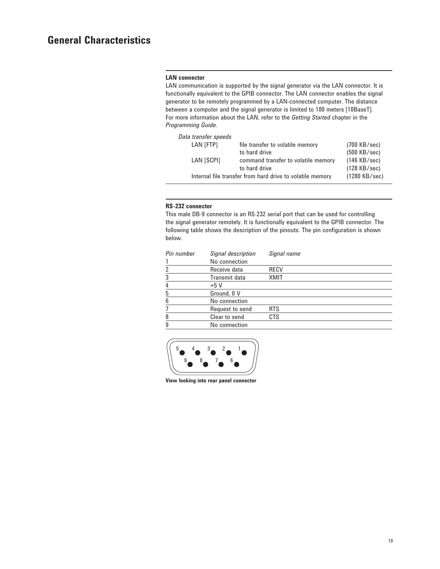#### **LAN connector**

LAN communication is supported by the signal generator via the LAN connector. It is functionally equivalent to the GPIB connector. The LAN connector enables the signal generator to be remotely programmed by a LAN-connected computer. The distance between a computer and the signal generator is limited to 100 meters [10BaseT]. For more information about the LAN, refer to the *Getting Started* chapter in the *Programming Guide*.

| Data transfer speeds |                                                           |                        |
|----------------------|-----------------------------------------------------------|------------------------|
| LAN [FTP]            | file transfer to volatile memory                          | $(700 \text{ KB/sec})$ |
|                      | to hard drive                                             | $(500 \text{ KB/sec})$ |
| LAN [SCPI]           | command transfer to volatile memory                       | $(146$ KB/sec)         |
|                      | to hard drive                                             | $(128$ KB/sec)         |
|                      | Internal file transfer from hard drive to volatile memory | $(1280$ KB/sec)        |

#### **RS-232 connector**

This male DB-9 connector is an RS-232 serial port that can be used for controlling the signal generator remotely. It is functionally equivalent to the GPIB connector. The following table shows the description of the pinouts. The pin configuration is shown below.

| Pin number | Signal description | Signal name |
|------------|--------------------|-------------|
|            | No connection      |             |
|            | Receive data       | RECV        |
| 3          | Transmit data      | XMIT        |
| 4          | $+5V$              |             |
| 5          | Ground, 0 V        |             |
| 6          | No connection      |             |
|            | Request to send    | <b>RTS</b>  |
| 8          | Clear to send      | <b>CTS</b>  |
| 9          | No connection      |             |



**View looking into rear panel connector**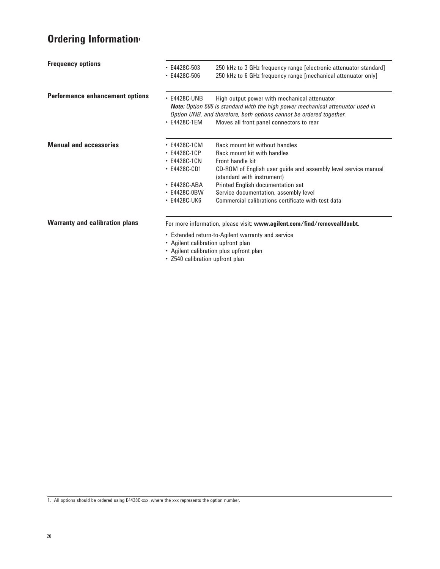# **Ordering Information**

| <b>Frequency options</b>               | $\cdot$ E4428C-503<br>$\cdot$ E4428C-506                                                                                             | 250 kHz to 3 GHz frequency range [electronic attenuator standard]<br>250 kHz to 6 GHz frequency range [mechanical attenuator only]                                                                                                                                                                                    |
|----------------------------------------|--------------------------------------------------------------------------------------------------------------------------------------|-----------------------------------------------------------------------------------------------------------------------------------------------------------------------------------------------------------------------------------------------------------------------------------------------------------------------|
| <b>Performance enhancement options</b> | $\cdot$ E4428C-UNB<br>$\cdot$ E4428C-1EM                                                                                             | High output power with mechanical attenuator<br><b>Note:</b> Option 506 is standard with the high power mechanical attenuator used in<br>Option UNB, and therefore, both options cannot be ordered together.<br>Moves all front panel connectors to rear                                                              |
| <b>Manual and accessories</b>          | $\cdot$ E4428C-1CM<br>• E4428C-1CP<br>$\cdot$ E4428C-1CN<br>$\cdot$ E4428C-CD1<br>$\cdot$ E4428C-ABA<br>• E4428C-0BW<br>• E4428C-UK6 | Rack mount kit without handles<br>Rack mount kit with handles<br>Front handle kit<br>CD-ROM of English user guide and assembly level service manual<br>(standard with instrument)<br>Printed English documentation set<br>Service documentation, assembly level<br>Commercial calibrations certificate with test data |
| <b>Warranty and calibration plans</b>  | • Agilent calibration upfront plan                                                                                                   | For more information, please visit: www.agilent.com/find/removealIdoubt.<br>• Extended return-to-Agilent warranty and service<br>• Agilent calibration plus upfront plan                                                                                                                                              |

• Z540 calibration upfront plan

1. All options should be ordered using E4428C-xxx, where the xxx represents the option number.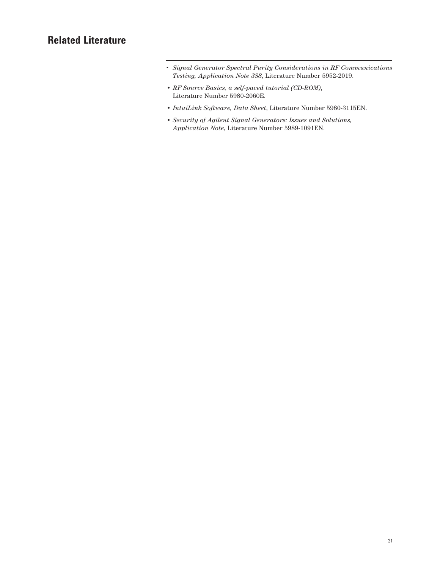### **Related Literature**

- • *Signal Generator Spectral Purity Considerations in RF Communications Testing, Application Note 388*, Literature Number 5952-2019.
- *• RF Source Basics, a self-paced tutorial (CD-ROM)*, Literature Number 5980-2060E.
- *• IntuiLink Software, Data Sheet*, Literature Number 5980-3115EN.
- *• Security of Agilent Signal Generators: Issues and Solutions, Application Note*, Literature Number 5989-1091EN.